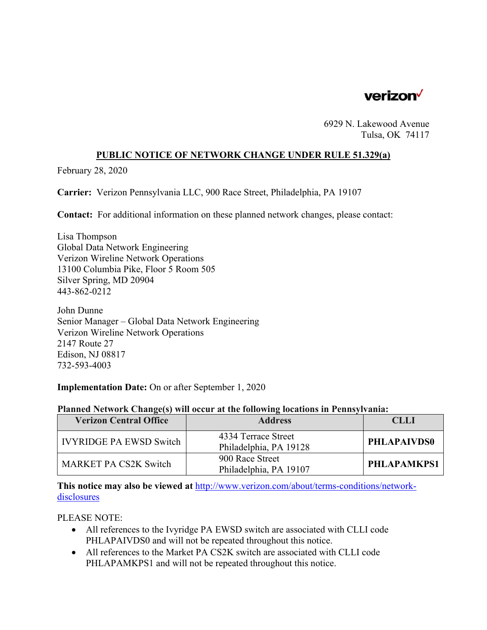

6929 N. Lakewood Avenue Tulsa, OK 74117

## **PUBLIC NOTICE OF NETWORK CHANGE UNDER RULE 51.329(a)**

February 28, 2020

**Carrier:** Verizon Pennsylvania LLC, 900 Race Street, Philadelphia, PA 19107

**Contact:** For additional information on these planned network changes, please contact:

Lisa Thompson Global Data Network Engineering Verizon Wireline Network Operations 13100 Columbia Pike, Floor 5 Room 505 Silver Spring, MD 20904 443-862-0212

John Dunne Senior Manager – Global Data Network Engineering Verizon Wireline Network Operations 2147 Route 27 Edison, NJ 08817 732-593-4003

**Implementation Date:** On or after September 1, 2020

| <b>Verizon Central Office</b>  | <b>Address</b>                                | <b>CLLI</b>        |
|--------------------------------|-----------------------------------------------|--------------------|
| <b>IVYRIDGE PA EWSD Switch</b> | 4334 Terrace Street<br>Philadelphia, PA 19128 | <b>PHLAPAIVDS0</b> |
| <b>MARKET PA CS2K Switch</b>   | 900 Race Street<br>Philadelphia, PA 19107     | <b>PHLAPAMKPS1</b> |

## **Planned Network Change(s) will occur at the following locations in Pennsylvania:**

**This notice may also be viewed at** http://www.verizon.com/about/terms-conditions/networkdisclosures

PLEASE NOTE:

- All references to the Ivyridge PA EWSD switch are associated with CLLI code PHLAPAIVDS0 and will not be repeated throughout this notice.
- All references to the Market PA CS2K switch are associated with CLLI code PHLAPAMKPS1 and will not be repeated throughout this notice.